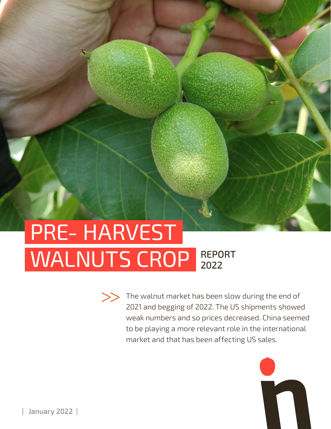## PRE- HARVEST WALNUTS CROP REPORT 2022



The walnut market has been slow during the end of 2021 and begging of 2022. The US shipments showed weak numbers and so prices decreased. China seemed to be playing a more relevant role in the international market and that has been affecting US sales.